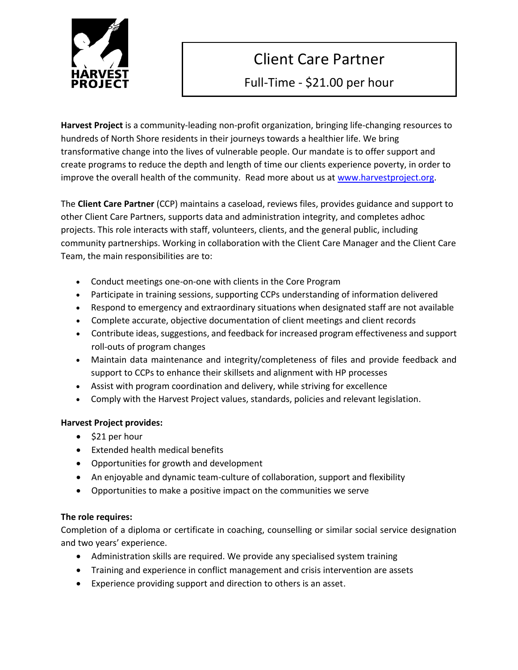

# Client Care Partner

Full-Time - \$21.00 per hour

**Recipient of the**  hundreds of North Shore residents in their journeys towards a healthier life. We bring transformative change into the lives of vulnerable people. Our mandate is to offer support and **Harvest Project** is a community-leading non-profit organization, bringing life-changing resources to create programs to reduce the depth and length of time our clients experience poverty, in order to improve the overall health of the community. Read more about us at [www.harvestproject.org.](http://www.harvestproject.org/)

The **Client Care Partner** (CCP) maintains a caseload, reviews files, provides guidance and support to other Client Care Partners, supports data and administration integrity, and completes adhoc  $\mathbb{R}$  Endy Hodges, Secretary projects. This role interacts with staff, volunteers, clients, and the general public, including community partnerships. Working in collaboration with the Client Care Manager and the Client Care Team, the main responsibilities are to:

- Conduct meetings one-on-one with clients in the Core Program
- Participate in training sessions, supporting CCPs understanding of information delivered
- GEORGE SCHROEDER • Respond to emergency and extraordinary situations when designated staff are not available
- Complete accurate, objective documentation of client meetings and client records
- Contribute ideas, suggestions, and feedback for increased program effectiveness and support roll-outs of program changes
- Maintain data maintenance and integrity/completeness of files and provide feedback and support to CCPs to enhance their skillsets and alignment with HP processes
- Assist with program coordination and delivery, while striving for excellence
- $m$ ph $u$ ith • Comply with the Harvest Project values, standards, policies and relevant legislation.

# **Harvest Project provides:**

- \$21 per hour
- Extended health medical benefits
- Opportunities for growth and development
- A p<sub>p</sub> p<sub>p</sub> **•** An enjoyable and dynamic team-culture of collaboration, support and flexibility
	- Opportunities to make a positive impact on the communities we serve

# **The role requires:**

Completion of a diploma or certificate in coaching, counselling or similar social service designation and two years' experience.

- Administration skills are required. We provide any specialised system training
- Training and experience in conflict management and crisis intervention are assets
- Experience providing support and direction to others is an asset.